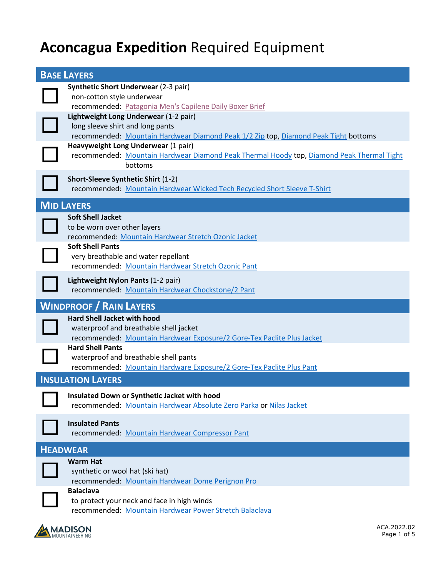## **Aconcagua Expedition** Required Equipment

| <b>BASE LAYERS</b>                                                                                                                                                                                                                                                                                                                                                                                                                                      |
|---------------------------------------------------------------------------------------------------------------------------------------------------------------------------------------------------------------------------------------------------------------------------------------------------------------------------------------------------------------------------------------------------------------------------------------------------------|
| <b>Synthetic Short Underwear (2-3 pair)</b><br>non-cotton style underwear<br>recommended: Patagonia Men's Capilene Daily Boxer Brief<br>Lightweight Long Underwear (1-2 pair)<br>long sleeve shirt and long pants<br>recommended: Mountain Hardwear Diamond Peak 1/2 Zip top, Diamond Peak Tight bottoms<br>Heavyweight Long Underwear (1 pair)<br>recommended: Mountain Hardwear Diamond Peak Thermal Hoody top, Diamond Peak Thermal Tight<br>bottoms |
| Short-Sleeve Synthetic Shirt (1-2)<br>recommended: Mountain Hardwear Wicked Tech Recycled Short Sleeve T-Shirt                                                                                                                                                                                                                                                                                                                                          |
| <b>MID LAYERS</b><br><b>Soft Shell Jacket</b><br>to be worn over other layers<br>recommended: Mountain Hardwear Stretch Ozonic Jacket<br><b>Soft Shell Pants</b><br>very breathable and water repellant<br>recommended: Mountain Hardwear Stretch Ozonic Pant                                                                                                                                                                                           |
| Lightweight Nylon Pants (1-2 pair)<br>recommended: Mountain Hardwear Chockstone/2 Pant                                                                                                                                                                                                                                                                                                                                                                  |
| <b>WINDPROOF / RAIN LAYERS</b><br><b>Hard Shell Jacket with hood</b><br>waterproof and breathable shell jacket<br>recommended: Mountain Hardwear Exposure/2 Gore-Tex Paclite Plus Jacket<br><b>Hard Shell Pants</b><br>waterproof and breathable shell pants<br>recommended: Mountain Hardware Exposure/2 Gore-Tex Paclite Plus Pant                                                                                                                    |
| <b>INSULATION LAYERS</b>                                                                                                                                                                                                                                                                                                                                                                                                                                |
| Insulated Down or Synthetic Jacket with hood<br>recommended: Mountain Hardwear Absolute Zero Parka or Nilas Jacket                                                                                                                                                                                                                                                                                                                                      |
| <b>Insulated Pants</b><br>recommended: Mountain Hardwear Compressor Pant                                                                                                                                                                                                                                                                                                                                                                                |
| <b>HEADWEAR</b>                                                                                                                                                                                                                                                                                                                                                                                                                                         |
| <b>Warm Hat</b><br>synthetic or wool hat (ski hat)<br>recommended: Mountain Hardwear Dome Perignon Pro<br><b>Balaclava</b><br>to protect your neck and face in high winds<br>recommended: Mountain Hardwear Power Stretch Balaclava                                                                                                                                                                                                                     |

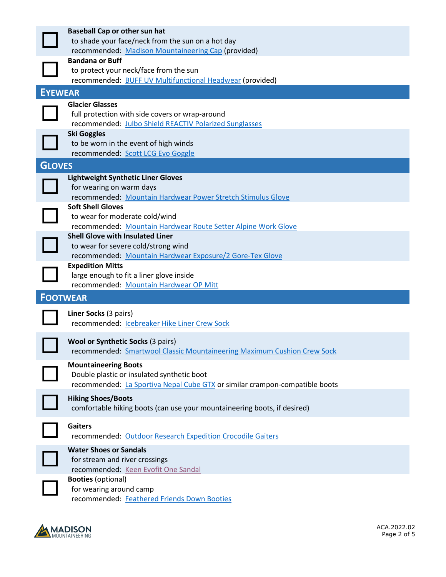|                | <b>Baseball Cap or other sun hat</b>                                        |
|----------------|-----------------------------------------------------------------------------|
|                | to shade your face/neck from the sun on a hot day                           |
|                | recommended: Madison Mountaineering Cap (provided)                          |
|                | <b>Bandana or Buff</b>                                                      |
|                | to protect your neck/face from the sun                                      |
|                | recommended: BUFF UV Multifunctional Headwear (provided)                    |
| <b>EYEWEAR</b> |                                                                             |
|                | <b>Glacier Glasses</b>                                                      |
|                | full protection with side covers or wrap-around                             |
|                | recommended: Julbo Shield REACTIV Polarized Sunglasses                      |
|                | <b>Ski Goggles</b>                                                          |
|                | to be worn in the event of high winds                                       |
|                | recommended: Scott LCG Evo Goggle                                           |
| <b>GLOVES</b>  |                                                                             |
|                | <b>Lightweight Synthetic Liner Gloves</b>                                   |
|                | for wearing on warm days                                                    |
|                | recommended: Mountain Hardwear Power Stretch Stimulus Glove                 |
|                | <b>Soft Shell Gloves</b>                                                    |
|                | to wear for moderate cold/wind                                              |
|                | recommended: Mountain Hardwear Route Setter Alpine Work Glove               |
|                | <b>Shell Glove with Insulated Liner</b>                                     |
|                | to wear for severe cold/strong wind                                         |
|                | recommended: Mountain Hardwear Exposure/2 Gore-Tex Glove                    |
|                | <b>Expedition Mitts</b>                                                     |
|                | large enough to fit a liner glove inside                                    |
|                | recommended: Mountain Hardwear OP Mitt                                      |
|                | <b>FOOTWEAR</b>                                                             |
|                | Liner Socks (3 pairs)                                                       |
|                | recommended: Icebreaker Hike Liner Crew Sock                                |
|                |                                                                             |
|                | <b>Wool or Synthetic Socks (3 pairs)</b>                                    |
|                | recommended: Smartwool Classic Mountaineering Maximum Cushion Crew Sock     |
|                | <b>Mountaineering Boots</b>                                                 |
|                | Double plastic or insulated synthetic boot                                  |
|                | recommended: La Sportiva Nepal Cube GTX or similar crampon-compatible boots |
|                |                                                                             |
|                | <b>Hiking Shoes/Boots</b>                                                   |
|                | comfortable hiking boots (can use your mountaineering boots, if desired)    |
|                | <b>Gaiters</b>                                                              |
|                | recommended: Outdoor Research Expedition Crocodile Gaiters                  |
|                | <b>Water Shoes or Sandals</b>                                               |
|                |                                                                             |
|                | for stream and river crossings                                              |
|                | recommended: Keen Evofit One Sandal                                         |
|                | <b>Booties (optional)</b>                                                   |
|                | for wearing around camp                                                     |
|                | recommended: Feathered Friends Down Booties                                 |

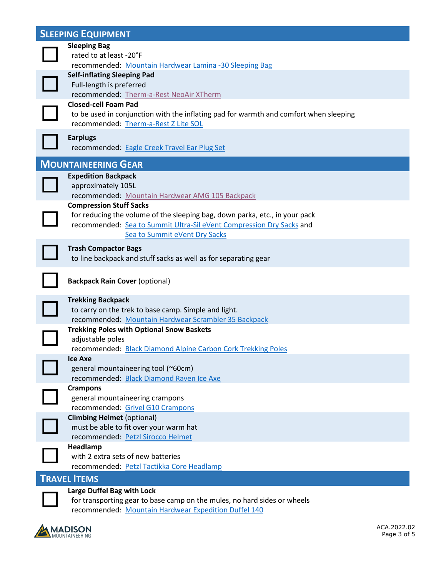|                     | <b>SLEEPING EQUIPMENT</b>                                                                                                                                                            |  |
|---------------------|--------------------------------------------------------------------------------------------------------------------------------------------------------------------------------------|--|
|                     | <b>Sleeping Bag</b><br>rated to at least -20°F<br>recommended: Mountain Hardwear Lamina -30 Sleeping Bag                                                                             |  |
|                     | <b>Self-inflating Sleeping Pad</b><br>Full-length is preferred<br>recommended: Therm-a-Rest NeoAir XTherm                                                                            |  |
|                     | <b>Closed-cell Foam Pad</b><br>to be used in conjunction with the inflating pad for warmth and comfort when sleeping<br>recommended: Therm-a-Rest Z Lite SOL                         |  |
|                     | <b>Earplugs</b><br>recommended: Eagle Creek Travel Ear Plug Set                                                                                                                      |  |
|                     | <b>MOUNTAINEERING GEAR</b>                                                                                                                                                           |  |
|                     | <b>Expedition Backpack</b>                                                                                                                                                           |  |
|                     | approximately 105L                                                                                                                                                                   |  |
|                     | recommended: Mountain Hardwear AMG 105 Backpack<br><b>Compression Stuff Sacks</b>                                                                                                    |  |
|                     | for reducing the volume of the sleeping bag, down parka, etc., in your pack<br>recommended: Sea to Summit Ultra-Sil eVent Compression Dry Sacks and<br>Sea to Summit eVent Dry Sacks |  |
|                     | <b>Trash Compactor Bags</b><br>to line backpack and stuff sacks as well as for separating gear                                                                                       |  |
|                     | <b>Backpack Rain Cover (optional)</b>                                                                                                                                                |  |
|                     | <b>Trekking Backpack</b><br>to carry on the trek to base camp. Simple and light.<br>recommended: Mountain Hardwear Scrambler 35 Backpack                                             |  |
|                     | <b>Trekking Poles with Optional Snow Baskets</b>                                                                                                                                     |  |
|                     | adjustable poles                                                                                                                                                                     |  |
|                     | recommended: Black Diamond Alpine Carbon Cork Trekking Poles                                                                                                                         |  |
|                     | <b>Ice Axe</b><br>general mountaineering tool (~60cm)                                                                                                                                |  |
|                     | recommended: Black Diamond Raven Ice Axe                                                                                                                                             |  |
|                     | <b>Crampons</b>                                                                                                                                                                      |  |
|                     | general mountaineering crampons                                                                                                                                                      |  |
|                     | recommended: Grivel G10 Crampons                                                                                                                                                     |  |
|                     | <b>Climbing Helmet (optional)</b><br>must be able to fit over your warm hat                                                                                                          |  |
|                     | recommended: Petzl Sirocco Helmet                                                                                                                                                    |  |
|                     | Headlamp                                                                                                                                                                             |  |
|                     | with 2 extra sets of new batteries                                                                                                                                                   |  |
|                     | recommended: Petzl Tactikka Core Headlamp                                                                                                                                            |  |
| <b>TRAVEL ITEMS</b> |                                                                                                                                                                                      |  |
|                     | Large Duffel Bag with Lock                                                                                                                                                           |  |
|                     | for transporting gear to base camp on the mules, no hard sides or wheels                                                                                                             |  |

recommended: [Mountain Hardwear Expedition Duffel 140](https://www.anrdoezrs.net/links/8909615/type/dlg/fragment/start%3D4/https:/www.mountainhardwear.com/expedition-duffel-140-1882674.html?dwvar_1882674_variationColor=675)

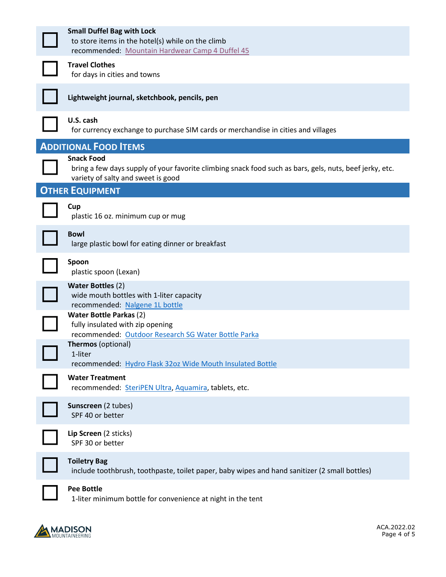| <b>Small Duffel Bag with Lock</b><br>to store items in the hotel(s) while on the climb<br>recommended: Mountain Hardwear Camp 4 Duffel 45                          |
|--------------------------------------------------------------------------------------------------------------------------------------------------------------------|
| <b>Travel Clothes</b><br>for days in cities and towns                                                                                                              |
| Lightweight journal, sketchbook, pencils, pen                                                                                                                      |
| U.S. cash<br>for currency exchange to purchase SIM cards or merchandise in cities and villages                                                                     |
| <b>ADDITIONAL FOOD ITEMS</b>                                                                                                                                       |
| <b>Snack Food</b><br>bring a few days supply of your favorite climbing snack food such as bars, gels, nuts, beef jerky, etc.<br>variety of salty and sweet is good |
| <b>OTHER EQUIPMENT</b>                                                                                                                                             |
| Cup<br>plastic 16 oz. minimum cup or mug                                                                                                                           |
| <b>Bowl</b><br>large plastic bowl for eating dinner or breakfast                                                                                                   |
| Spoon<br>plastic spoon (Lexan)                                                                                                                                     |
| <b>Water Bottles (2)</b><br>wide mouth bottles with 1-liter capacity<br>recommended: Nalgene 1L bottle                                                             |
| <b>Water Bottle Parkas (2)</b><br>fully insulated with zip opening<br>recommended: Outdoor Research SG Water Bottle Parka                                          |
| Thermos (optional)<br>1-liter<br>recommended: Hydro Flask 32oz Wide Mouth Insulated Bottle                                                                         |
| <b>Water Treatment</b><br>recommended: SteriPEN Ultra, Aquamira, tablets, etc.                                                                                     |
| Sunscreen (2 tubes)<br>SPF 40 or better                                                                                                                            |
| Lip Screen (2 sticks)<br>SPF 30 or better                                                                                                                          |
| <b>Toiletry Bag</b><br>include toothbrush, toothpaste, toilet paper, baby wipes and hand sanitizer (2 small bottles)                                               |
| <b>Pee Bottle</b><br>1-liter minimum bottle for convenience at night in the tent                                                                                   |